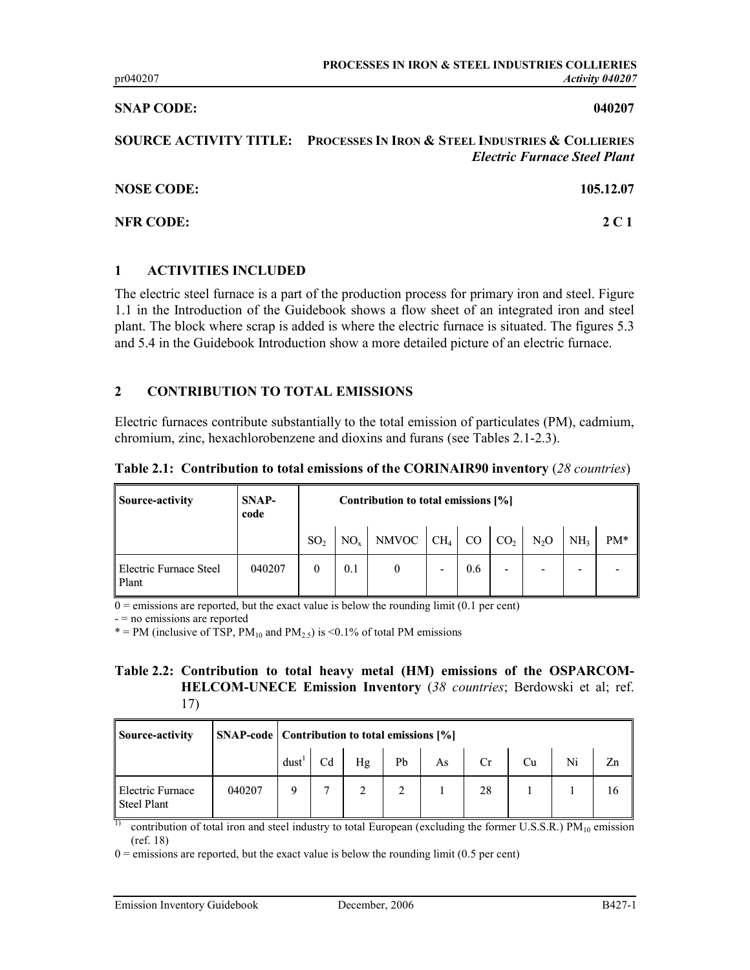#### SNAP CODE: 040207

SOURCE ACTIVITY TITLE: PROCESSES IN IRON & STEEL INDUSTRIES & COLLIERIES Electric Furnace Steel Plant

| <b>NOSE CODE:</b> | 105.12.07 |
|-------------------|-----------|
| <b>NFR CODE:</b>  | 2 C 1     |

#### 1 ACTIVITIES INCLUDED

The electric steel furnace is a part of the production process for primary iron and steel. Figure 1.1 in the Introduction of the Guidebook shows a flow sheet of an integrated iron and steel plant. The block where scrap is added is where the electric furnace is situated. The figures 5.3 and 5.4 in the Guidebook Introduction show a more detailed picture of an electric furnace.

# 2 CONTRIBUTION TO TOTAL EMISSIONS

Electric furnaces contribute substantially to the total emission of particulates (PM), cadmium, chromium, zinc, hexachlorobenzene and dioxins and furans (see Tables 2.1-2.3).

Table 2.1: Contribution to total emissions of the CORINAIR90 inventory (28 countries)

| <b>Source-activity</b>                 | <b>SNAP-</b><br>code | Contribution to total emissions [%] |     |                                                |   |     |   |   |                 |     |
|----------------------------------------|----------------------|-------------------------------------|-----|------------------------------------------------|---|-----|---|---|-----------------|-----|
|                                        |                      | SO <sub>2</sub>                     |     | $NO_x$ NMVOC $CH_4$ CO $CO_2$ N <sub>2</sub> O |   |     |   |   | NH <sub>3</sub> | PM* |
| <b>Electric Furnace Steel</b><br>Plant | 040207               |                                     | 0.1 |                                                | - | 0.6 | - | - |                 |     |

 $\overline{0}$  = emissions are reported, but the exact value is below the rounding limit (0.1 per cent)

- = no emissions are reported

\* = PM (inclusive of TSP,  $PM_{10}$  and  $PM_{2.5}$ ) is <0.1% of total PM emissions

#### Table 2.2: Contribution to total heavy metal (HM) emissions of the OSPARCOM-HELCOM-UNECE Emission Inventory (38 countries; Berdowski et al; ref. 17)

| <b>Source-activity</b>                        |        |      | <b>SNAP-code</b>   Contribution to total emissions [%] |    |    |    |    |    |    |    |  |
|-----------------------------------------------|--------|------|--------------------------------------------------------|----|----|----|----|----|----|----|--|
|                                               |        | dust | Cd                                                     | Hg | Pb | As | Cr | Cu | Ni | Zn |  |
| <b>Electric Furnace</b><br><b>Steel Plant</b> | 040207 |      |                                                        |    |    |    | 28 |    |    | 16 |  |

contribution of total iron and steel industry to total European (excluding the former U.S.S.R.)  $PM_{10}$  emission (ref. 18)

 $0 =$  emissions are reported, but the exact value is below the rounding limit (0.5 per cent)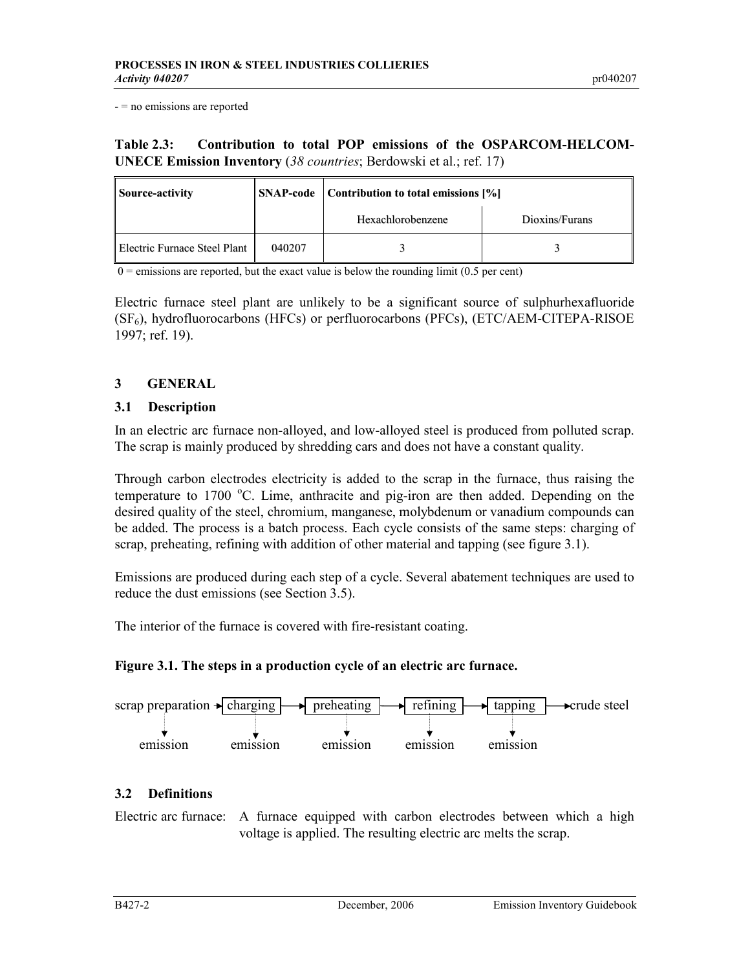- = no emissions are reported

# Table 2.3: Contribution to total POP emissions of the OSPARCOM-HELCOM-UNECE Emission Inventory (38 countries; Berdowski et al.; ref. 17)

| <b>Source-activity</b>       |        | <b>SNAP-code</b>   Contribution to total emissions [%] |                |  |  |  |  |
|------------------------------|--------|--------------------------------------------------------|----------------|--|--|--|--|
|                              |        | Hexachlorobenzene                                      | Dioxins/Furans |  |  |  |  |
| Electric Furnace Steel Plant | 040207 |                                                        |                |  |  |  |  |

 $\overline{0}$  = emissions are reported, but the exact value is below the rounding limit (0.5 per cent)

Electric furnace steel plant are unlikely to be a significant source of sulphurhexafluoride (SF6), hydrofluorocarbons (HFCs) or perfluorocarbons (PFCs), (ETC/AEM-CITEPA-RISOE 1997; ref. 19).

# 3 GENERAL

#### 3.1 Description

In an electric arc furnace non-alloyed, and low-alloyed steel is produced from polluted scrap. The scrap is mainly produced by shredding cars and does not have a constant quality.

Through carbon electrodes electricity is added to the scrap in the furnace, thus raising the temperature to 1700  $^{\circ}$ C. Lime, anthracite and pig-iron are then added. Depending on the desired quality of the steel, chromium, manganese, molybdenum or vanadium compounds can be added. The process is a batch process. Each cycle consists of the same steps: charging of scrap, preheating, refining with addition of other material and tapping (see figure 3.1).

Emissions are produced during each step of a cycle. Several abatement techniques are used to reduce the dust emissions (see Section 3.5).

The interior of the furnace is covered with fire-resistant coating.

# Figure 3.1. The steps in a production cycle of an electric arc furnace.



# 3.2 Definitions

Electric arc furnace: A furnace equipped with carbon electrodes between which a high voltage is applied. The resulting electric arc melts the scrap.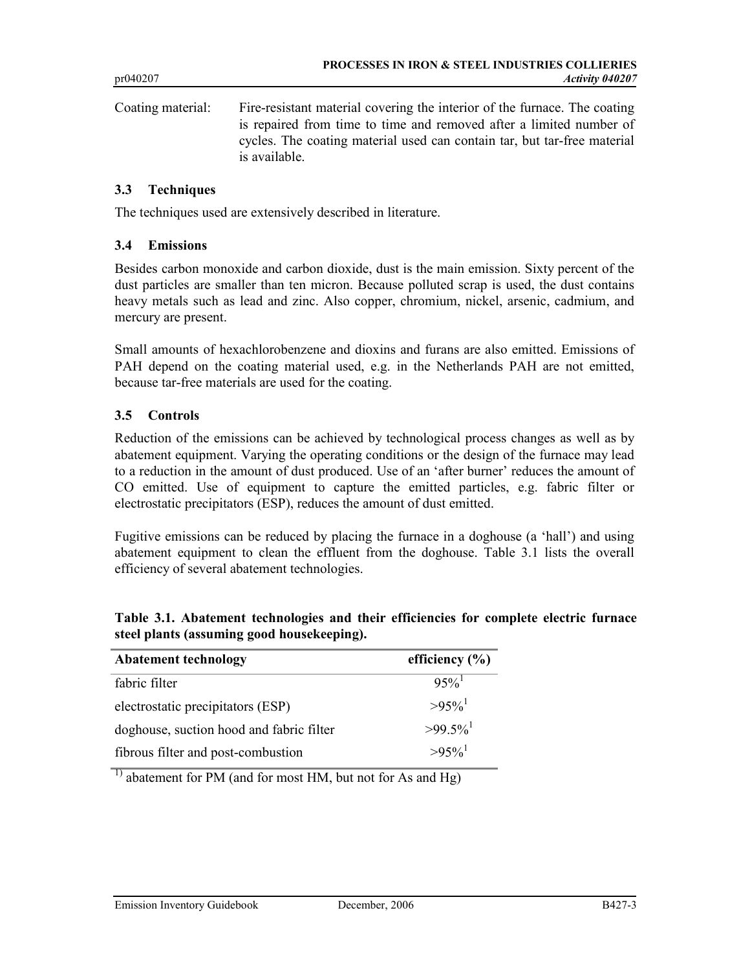Coating material: Fire-resistant material covering the interior of the furnace. The coating is repaired from time to time and removed after a limited number of cycles. The coating material used can contain tar, but tar-free material is available.

### 3.3 Techniques

The techniques used are extensively described in literature.

#### 3.4 Emissions

Besides carbon monoxide and carbon dioxide, dust is the main emission. Sixty percent of the dust particles are smaller than ten micron. Because polluted scrap is used, the dust contains heavy metals such as lead and zinc. Also copper, chromium, nickel, arsenic, cadmium, and mercury are present.

Small amounts of hexachlorobenzene and dioxins and furans are also emitted. Emissions of PAH depend on the coating material used, e.g. in the Netherlands PAH are not emitted, because tar-free materials are used for the coating.

#### 3.5 Controls

Reduction of the emissions can be achieved by technological process changes as well as by abatement equipment. Varying the operating conditions or the design of the furnace may lead to a reduction in the amount of dust produced. Use of an 'after burner' reduces the amount of CO emitted. Use of equipment to capture the emitted particles, e.g. fabric filter or electrostatic precipitators (ESP), reduces the amount of dust emitted.

Fugitive emissions can be reduced by placing the furnace in a doghouse (a 'hall') and using abatement equipment to clean the effluent from the doghouse. Table 3.1 lists the overall efficiency of several abatement technologies.

|  | Table 3.1. Abatement technologies and their efficiencies for complete electric furnace |  |  |  |  |
|--|----------------------------------------------------------------------------------------|--|--|--|--|
|  | steel plants (assuming good housekeeping).                                             |  |  |  |  |

| <b>Abatement technology</b>              | efficiency $(\% )$     |
|------------------------------------------|------------------------|
| fabric filter                            | $95\%$                 |
| electrostatic precipitators (ESP)        | $>95\%$ <sup>1</sup>   |
| doghouse, suction hood and fabric filter | $>99.5\%$ <sup>1</sup> |
| fibrous filter and post-combustion       | $>95\%$ <sup>1</sup>   |

 $\overline{1}$ ) abatement for PM (and for most HM, but not for As and Hg)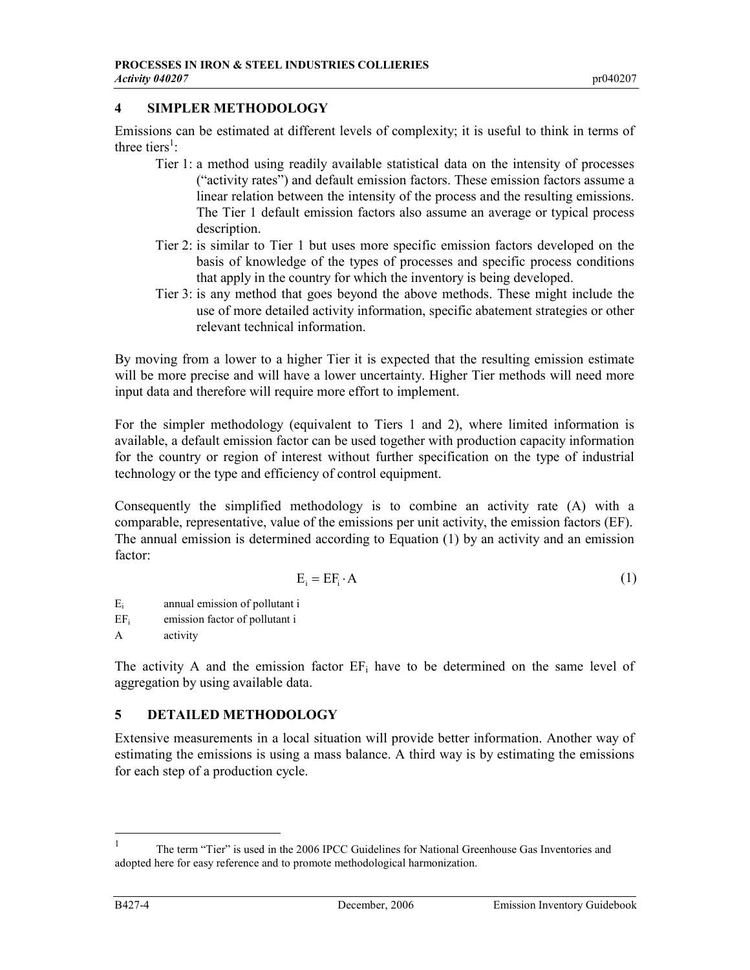# 4 SIMPLER METHODOLOGY

Emissions can be estimated at different levels of complexity; it is useful to think in terms of three tiers<sup>1</sup>:

- Tier 1: a method using readily available statistical data on the intensity of processes ("activity rates") and default emission factors. These emission factors assume a linear relation between the intensity of the process and the resulting emissions. The Tier 1 default emission factors also assume an average or typical process description.
- Tier 2: is similar to Tier 1 but uses more specific emission factors developed on the basis of knowledge of the types of processes and specific process conditions that apply in the country for which the inventory is being developed.
- Tier 3: is any method that goes beyond the above methods. These might include the use of more detailed activity information, specific abatement strategies or other relevant technical information.

By moving from a lower to a higher Tier it is expected that the resulting emission estimate will be more precise and will have a lower uncertainty. Higher Tier methods will need more input data and therefore will require more effort to implement.

For the simpler methodology (equivalent to Tiers 1 and 2), where limited information is available, a default emission factor can be used together with production capacity information for the country or region of interest without further specification on the type of industrial technology or the type and efficiency of control equipment.

Consequently the simplified methodology is to combine an activity rate (A) with a comparable, representative, value of the emissions per unit activity, the emission factors (EF). The annual emission is determined according to Equation (1) by an activity and an emission factor:

$$
E_i = EF_i \cdot A \tag{1}
$$

Ei annual emission of pollutant i EFi emission factor of pollutant i

A activity

The activity A and the emission factor  $EF_i$  have to be determined on the same level of aggregation by using available data.

# 5 DETAILED METHODOLOGY

Extensive measurements in a local situation will provide better information. Another way of estimating the emissions is using a mass balance. A third way is by estimating the emissions for each step of a production cycle.

 $\frac{1}{1}$  The term "Tier" is used in the 2006 IPCC Guidelines for National Greenhouse Gas Inventories and adopted here for easy reference and to promote methodological harmonization.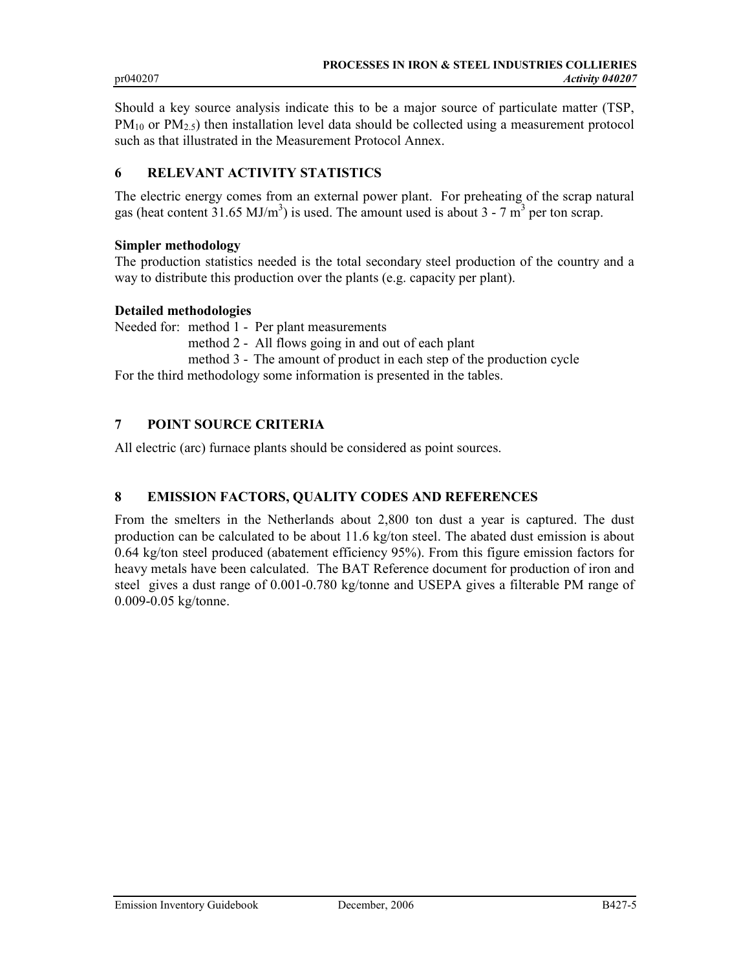Should a key source analysis indicate this to be a major source of particulate matter (TSP,  $PM_{10}$  or  $PM_{2.5}$ ) then installation level data should be collected using a measurement protocol such as that illustrated in the Measurement Protocol Annex.

### 6 RELEVANT ACTIVITY STATISTICS

The electric energy comes from an external power plant. For preheating of the scrap natural gas (heat content  $31.65 \text{ MJ/m}^3$ ) is used. The amount used is about  $3 - 7 \text{ m}^3$  per ton scrap.

#### Simpler methodology

The production statistics needed is the total secondary steel production of the country and a way to distribute this production over the plants (e.g. capacity per plant).

#### Detailed methodologies

Needed for: method 1 - Per plant measurements

method 2 - All flows going in and out of each plant

method 3 - The amount of product in each step of the production cycle

For the third methodology some information is presented in the tables.

# 7 POINT SOURCE CRITERIA

All electric (arc) furnace plants should be considered as point sources.

# 8 EMISSION FACTORS, QUALITY CODES AND REFERENCES

From the smelters in the Netherlands about 2,800 ton dust a year is captured. The dust production can be calculated to be about 11.6 kg/ton steel. The abated dust emission is about 0.64 kg/ton steel produced (abatement efficiency 95%). From this figure emission factors for heavy metals have been calculated. The BAT Reference document for production of iron and steel gives a dust range of 0.001-0.780 kg/tonne and USEPA gives a filterable PM range of 0.009-0.05 kg/tonne.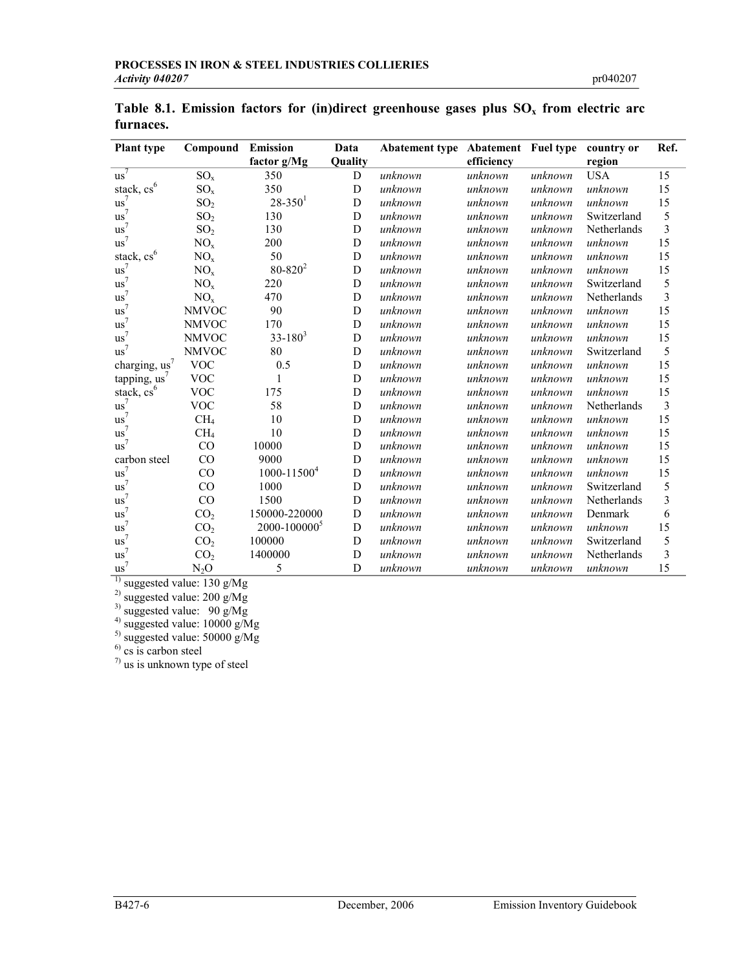| <b>Plant type</b>      | Compound        | <b>Emission</b>          | Data    | <b>Abatement type Abatement Fuel type</b> |            |         | country or  | Ref.           |
|------------------------|-----------------|--------------------------|---------|-------------------------------------------|------------|---------|-------------|----------------|
|                        |                 | factor g/Mg              | Quality |                                           | efficiency |         | region      |                |
| $us^7$                 | $SO_x$          | 350                      | D       | unknown                                   | unknown    | unknown | <b>USA</b>  | 15             |
| stack, $cs^6$          | $SO_{x}$        | 350                      | D       | unknown                                   | unknown    | unknown | unknown     | 15             |
| $\mathrm{us}^7$        | SO <sub>2</sub> | $28 - 350$ <sup>1</sup>  | D       | unknown                                   | unknown    | unknown | unknown     | 15             |
| $us^7$                 | SO <sub>2</sub> | 130                      | D       | unknown                                   | unknown    | unknown | Switzerland | 5              |
| $us^7$                 | SO <sub>2</sub> | 130                      | D       | unknown                                   | unknown    | unknown | Netherlands | 3              |
| $us^7$                 | $\rm NO_x$      | 200                      | D       | unknown                                   | unknown    | unknown | unknown     | 15             |
| stack, cs <sup>6</sup> | NO <sub>x</sub> | 50                       | D       | unknown                                   | unknown    | unknown | unknown     | 15             |
| $us^7$                 | NO <sub>x</sub> | $80 - 820^2$             | D       | unknown                                   | unknown    | unknown | unknown     | 15             |
| $us^7$                 | NO <sub>x</sub> | 220                      | D       | unknown                                   | unknown    | unknown | Switzerland | 5              |
| $us^7$                 | NO <sub>x</sub> | 470                      | D       | unknown                                   | unknown    | unknown | Netherlands | 3              |
| $us^7$                 | <b>NMVOC</b>    | 90                       | D       | unknown                                   | unknown    | unknown | unknown     | 15             |
| $us^7$                 | <b>NMVOC</b>    | 170                      | D       | unknown                                   | unknown    | unknown | unknown     | 15             |
| $us^7$                 | <b>NMVOC</b>    | $33 - 180^3$             | D       | unknown                                   | unknown    | unknown | unknown     | 15             |
| $us^7$                 | <b>NMVOC</b>    | 80                       | D       | unknown                                   | unknown    | unknown | Switzerland | 5              |
| charging, us'          | <b>VOC</b>      | 0.5                      | D       | unknown                                   | unknown    | unknown | unknown     | 15             |
| tapping, $us^7$        | <b>VOC</b>      |                          | D       | unknown                                   | unknown    | unknown | unknown     | 15             |
| stack, cs <sup>6</sup> | <b>VOC</b>      | 175                      | D       | unknown                                   | unknown    | unknown | unknown     | 15             |
| $us^7$                 | <b>VOC</b>      | 58                       | D       | unknown                                   | unknown    | unknown | Netherlands | $\mathfrak{Z}$ |
| $us^7$                 | CH <sub>4</sub> | 10                       | D       | unknown                                   | unknown    | unknown | unknown     | 15             |
| $us^7$                 | CH <sub>4</sub> | 10                       | D       | unknown                                   | unknown    | unknown | unknown     | 15             |
| $us^7$                 | CO              | 10000                    | D       | unknown                                   | unknown    | unknown | unknown     | 15             |
| carbon steel           | CO              | 9000                     | D       | unknown                                   | unknown    | unknown | unknown     | 15             |
| $us^7$                 | CO              | $1000 - 11500^4$         | D       | unknown                                   | unknown    | unknown | unknown     | 15             |
| $us^7$                 | CO              | 1000                     | D       | unknown                                   | unknown    | unknown | Switzerland | 5              |
| $us^7$                 | CO              | 1500                     | D       | unknown                                   | unknown    | unknown | Netherlands | 3              |
| $us^7$                 | CO <sub>2</sub> | 150000-220000            | D       | unknown                                   | unknown    | unknown | Denmark     | 6              |
| $us^7$                 | CO <sub>2</sub> | 2000-100000 <sup>5</sup> | D       | unknown                                   | unknown    | unknown | unknown     | 15             |
| $us^7$                 | CO <sub>2</sub> | 100000                   | D       | unknown                                   | unknown    | unknown | Switzerland | 5              |
| $us^7$                 | CO <sub>2</sub> | 1400000                  | D       | unknown                                   | unknown    | unknown | Netherlands | 3              |
| $us^7$                 | $N_2O$          | 5                        | D       | unknown                                   | unknown    | unknown | unknown     | 15             |

Table 8.1. Emission factors for (in)direct greenhouse gases plus  $SO<sub>x</sub>$  from electric arc furnaces.

 $^{1)}$  suggested value: 130 g/Mg

 $^{2)}$  suggested value: 200 g/Mg

 $^{3)}$  suggested value: 90 g/Mg

 $^{4)}$  suggested value: 10000 g/Mg

 $^{5)}$  suggested value: 50000 g/Mg

 $<sup>6)</sup>$  cs is carbon steel</sup>

 $\frac{7}{10}$  us is unknown type of steel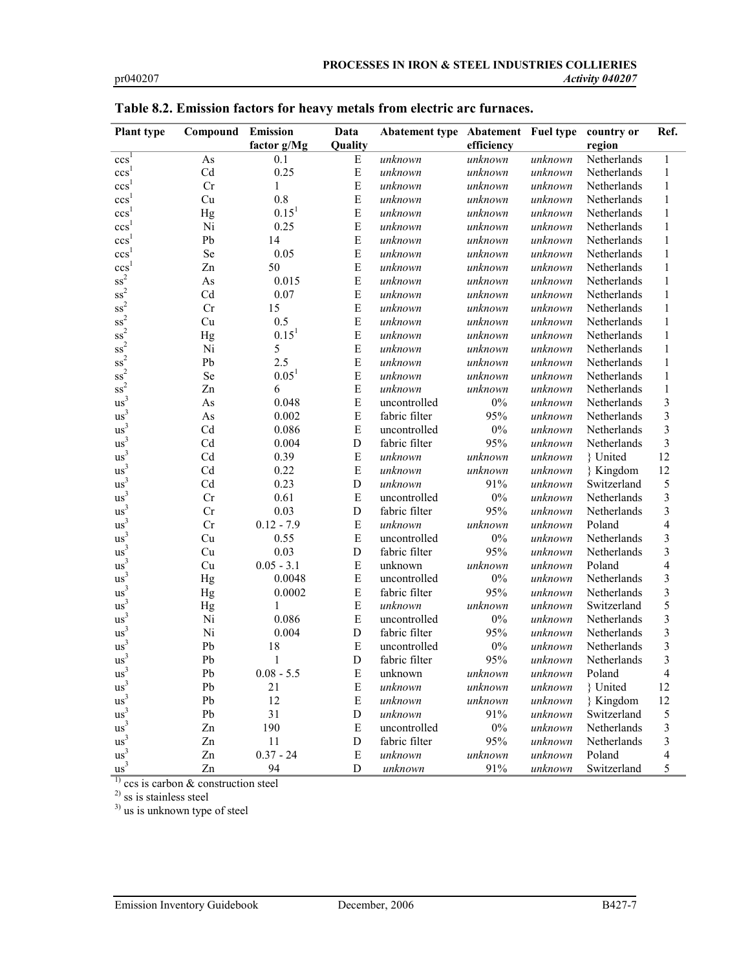| <b>Plant type</b>             | Compound  | <b>Emission</b> | Data        | Abatement type Abatement Fuel type |            |         | country or  | Ref.           |
|-------------------------------|-----------|-----------------|-------------|------------------------------------|------------|---------|-------------|----------------|
|                               |           | factor g/Mg     | Quality     |                                    | efficiency |         | region      |                |
| $ccs^{\bar{1}}$               | As        | 0.1             | E           | unknown                            | unknown    | unknown | Netherlands | 1              |
| ccs <sup>1</sup>              | Cd        | 0.25            | ${\bf E}$   | unknown                            | unknown    | unknown | Netherlands | $\mathbf{1}$   |
| ccs <sup>1</sup>              | Cr        | $\mathbf{1}$    | E           | unknown                            | unknown    | unknown | Netherlands | $\mathbf{1}$   |
| ccs <sup>1</sup>              | Cu        | 0.8             | ${\bf E}$   | unknown                            | unknown    | unknown | Netherlands | $\mathbf{1}$   |
| $\ensuremath{\mathbf{ccs}}^1$ | Hg        | $0.15^{1}$      | E           | unknown                            | unknown    | unknown | Netherlands | $\mathbf{1}$   |
| ccs <sup>1</sup>              | Ni        | 0.25            | E           | unknown                            | unknown    | unknown | Netherlands | $\mathbf{1}$   |
| ccs <sup>1</sup>              | Pb        | 14              | E           | unknown                            | unknown    | unknown | Netherlands | $\mathbf{1}$   |
| $\csc^{1}$                    | <b>Se</b> | 0.05            | E           | unknown                            | unknown    | unknown | Netherlands | $\mathbf{1}$   |
| ccs <sup>1</sup>              | Zn        | 50              | E           | unknown                            | unknown    | unknown | Netherlands | 1              |
| $\mathrm{ss}^2$               | As        | 0.015           | E           | unknown                            | unknown    | unknown | Netherlands | 1              |
| $\mathrm{ss}^2$               | Cd        | 0.07            | E           | unknown                            | unknown    | unknown | Netherlands | $\mathbf{1}$   |
| $ss^2$                        | Cr        | 15              | E           | unknown                            | unknown    | unknown | Netherlands | $\mathbf{1}$   |
| $\mathrm{ss}^2$               | Cu        | 0.5             | E           | unknown                            | unknown    | unknown | Netherlands | $\mathbf{1}$   |
| $\mathrm{ss}^2$               | Hg        | $0.15^{1}$      | E           | unknown                            | unknown    | unknown | Netherlands | 1              |
| $\mathrm{ss}^2$               | Ni        | 5               | E           | unknown                            | unknown    | unknown | Netherlands | $\mathbf{1}$   |
| $\mathrm{ss}^2$               | Pb        | 2.5             | E           | unknown                            | unknown    | unknown | Netherlands | $\mathbf{1}$   |
| $ss^2$                        | <b>Se</b> | $0.05^{1}$      | E           | unknown                            | unknown    | unknown | Netherlands | $\mathbf{1}$   |
| $\mathrm{ss}^2$               | Zn        | 6               | E           | unknown                            | unknown    | unknown | Netherlands | $\mathbf{1}$   |
| $\mathrm{us}^3$               | As        | 0.048           | E           | uncontrolled                       | $0\%$      | unknown | Netherlands | 3              |
| us <sup>3</sup>               | As        | 0.002           | E           | fabric filter                      | 95%        | unknown | Netherlands | 3              |
| us <sup>3</sup>               | Cd        | 0.086           | E           | uncontrolled                       | $0\%$      | unknown | Netherlands | 3              |
| $\mathrm{us}^3$               | Cd        | 0.004           | $\mathbf D$ | fabric filter                      | 95%        | unknown | Netherlands | 3              |
| $\mathrm{us}^3$               | Cd        | 0.39            | $\mathbf E$ | unknown                            | unknown    | unknown | } United    | 12             |
| $us^3$                        | Cd        | 0.22            | E           | unknown                            | unknown    | unknown | } Kingdom   | 12             |
| us <sup>3</sup>               | Cd        | 0.23            | $\mathbf D$ | unknown                            | 91%        | unknown | Switzerland | 5              |
| us <sup>3</sup>               | Cr        | 0.61            | ${\bf E}$   | uncontrolled                       | $0\%$      | unknown | Netherlands | 3              |
| $\mathrm{us}^3$               | Cr        | 0.03            | $\mathbf D$ | fabric filter                      | 95%        | unknown | Netherlands | 3              |
| us <sup>3</sup>               | Cr        | $0.12 - 7.9$    | $\mathbf E$ | unknown                            | unknown    | unknown | Poland      | $\overline{4}$ |
| us <sup>3</sup>               | Cu        | 0.55            | $\mathbf E$ | uncontrolled                       | $0\%$      | unknown | Netherlands | 3              |
| us <sup>3</sup>               | Cu        | 0.03            | $\mathbf D$ | fabric filter                      | 95%        | unknown | Netherlands | 3              |
| $\mathrm{us}^3$               | Cu        | $0.05 - 3.1$    | E           | unknown                            | unknown    | unknown | Poland      | $\overline{4}$ |
| us <sup>3</sup>               | Hg        | 0.0048          | ${\bf E}$   | uncontrolled                       | $0\%$      | unknown | Netherlands | 3              |
| $us^3$                        | Hg        | 0.0002          | E           | fabric filter                      | 95%        | unknown | Netherlands | 3              |
| us <sup>3</sup>               | Hg        | 1               | E           | unknown                            | unknown    | unknown | Switzerland | 5              |
| us <sup>3</sup>               | Ni        | 0.086           | E           | uncontrolled                       | $0\%$      | unknown | Netherlands | 3              |
| us <sup>3</sup>               | Ni        | 0.004           | $\mathbf D$ | fabric filter                      | 95%        | unknown | Netherlands | 3              |
| $us^3$                        | Pb        | 18              | E           | uncontrolled                       | $0\%$      | unknown | Netherlands | 3              |
| $\mathrm{us}^3$               | Pb        | $\mathbf{1}$    | $\mathbf D$ | fabric filter                      | 95%        | unknown | Netherlands | 3              |
| us <sup>3</sup>               | Pb        | $0.08 - 5.5$    | E           | unknown                            | unknown    | unknown | Poland      | $\overline{4}$ |
| us <sup>3</sup>               | Pb        | 21              | E           | unknown                            | unknown    | unknown | { United    | 12             |

|  | Table 8.2. Emission factors for heavy metals from electric arc furnaces. |  |  |  |  |
|--|--------------------------------------------------------------------------|--|--|--|--|
|  |                                                                          |  |  |  |  |

 $1)$  ccs is carbon & construction steel

<sup>2)</sup> ss is stainless steel

us 3

us 3

us 3

us 3

us 3

us 3

<sup>3)</sup> us is unknown type of steel

Pb 12 E unknown unknown unknown } Kingdom 12<br>
Pb 31 D unknown 91% unknown Switzerland 5<br>
Zn 190 E uncontrolled 0% unknown Netherlands 3

Pb 31 D unknown 91% unknown Switzerland 5

Zn 190 E uncontrolled 0% *unknown* Netherlands 3

Zn 11 D fabric filter 95% *unknown* Netherlands 3

Zn 0.37 - 24 E unknown unknown unknown Poland 4

Zn 94 D unknown 91% unknown Switzerland 5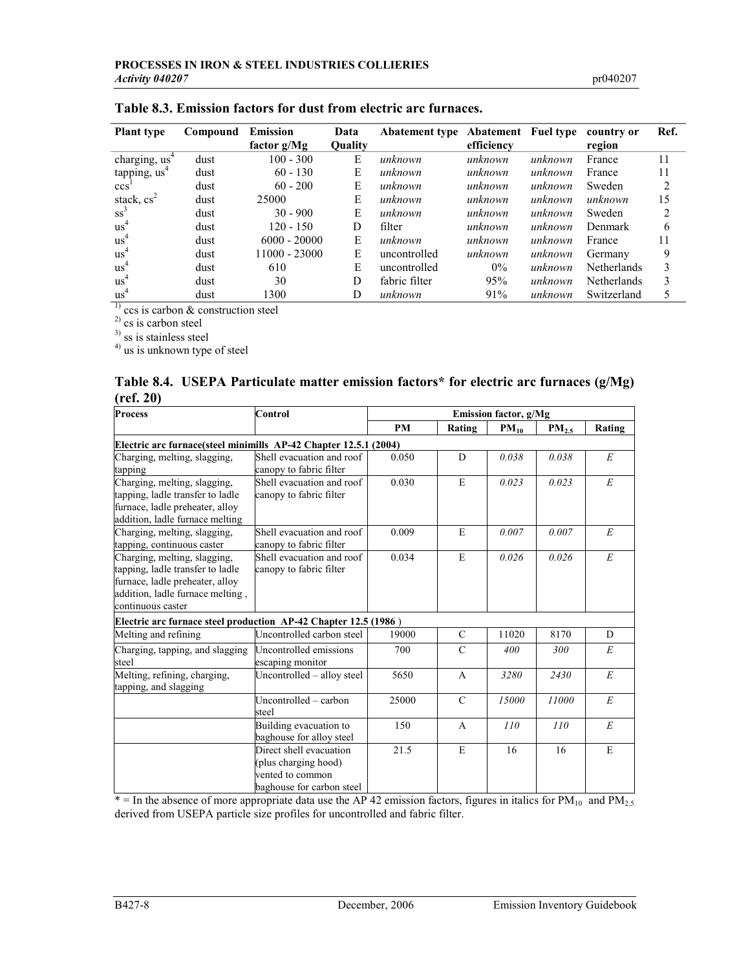| <b>Plant type</b>         | Compound | <b>Emission</b> | Data           | <b>Abatement type Abatement Fuel type</b> |            |         | country or         | Ref. |
|---------------------------|----------|-----------------|----------------|-------------------------------------------|------------|---------|--------------------|------|
|                           |          | factor $g/Mg$   | <b>Quality</b> |                                           | efficiency |         | region             |      |
| charging, us <sup>4</sup> | dust     | $100 - 300$     | E              | unknown                                   | unknown    | unknown | France             | 11   |
| tapping, us <sup>+</sup>  | dust     | $60 - 130$      | E              | unknown                                   | unknown    | unknown | France             | 11   |
| ccs'                      | dust     | $60 - 200$      | E              | unknown                                   | unknown    | unknown | Sweden             | 2    |
| stack, $cs^2$             | dust     | 25000           | E              | unknown                                   | unknown    | unknown | unknown            | 15   |
| $ss^3$                    | dust     | $30 - 900$      | E              | unknown                                   | unknown    | unknown | Sweden             | 2    |
| us <sup>4</sup>           | dust     | 120 - 150       | D              | filter                                    | unknown    | unknown | Denmark            | 6    |
| us <sup>4</sup>           | dust     | $6000 - 20000$  | E              | unknown                                   | unknown    | unknown | France             | 11   |
| $\mathrm{us}^4$           | dust     | $11000 - 23000$ | E              | uncontrolled                              | unknown    | unknown | Germany            | 9    |
| us <sup>4</sup>           | dust     | 610             | E              | uncontrolled                              | $0\%$      | unknown | <b>Netherlands</b> | 3    |
| us <sup>4</sup>           | dust     | 30              | D              | fabric filter                             | 95%        | unknown | <b>Netherlands</b> | 3    |
| us <sup>4</sup>           | dust     | 1300            | D              | unknown                                   | 91%        | unknown | Switzerland        |      |

 $1)$  ccs is carbon & construction steel

2) cs is carbon steel

<sup>3)</sup> ss is stainless steel

<sup>4)</sup> us is unknown type of steel

|           | Table 8.4. USEPA Particulate matter emission factors* for electric arc furnaces (g/Mg) |  |  |
|-----------|----------------------------------------------------------------------------------------|--|--|
| (ref. 20) |                                                                                        |  |  |

| <b>Process</b>                                                                                                                                                                                                       | Control                                                                                          | Emission factor, g/Mg |               |           |                   |           |  |  |
|----------------------------------------------------------------------------------------------------------------------------------------------------------------------------------------------------------------------|--------------------------------------------------------------------------------------------------|-----------------------|---------------|-----------|-------------------|-----------|--|--|
|                                                                                                                                                                                                                      |                                                                                                  | <b>PM</b>             | Rating        | $PM_{10}$ | PM <sub>2.5</sub> | Rating    |  |  |
| Electric arc furnace (steel minimills AP-42 Chapter 12.5.1 (2004)                                                                                                                                                    |                                                                                                  |                       |               |           |                   |           |  |  |
| Charging, melting, slagging,<br>tapping                                                                                                                                                                              | Shell evacuation and roof<br>canopy to fabric filter                                             | 0.050                 | D             | 0.038     | 0.038             | E         |  |  |
| Charging, melting, slagging,<br>tapping, ladle transfer to ladle<br>furnace, ladle preheater, alloy<br>addition, ladle furnace melting                                                                               | Shell evacuation and roof<br>canopy to fabric filter                                             | 0.030                 | E             | 0.023     | 0.023             | E         |  |  |
| Charging, melting, slagging,<br>tapping, continuous caster                                                                                                                                                           | Shell evacuation and roof<br>canopy to fabric filter                                             | 0.009                 | E             | 0.007     | 0.007             | E         |  |  |
| Charging, melting, slagging,<br>Shell evacuation and roof<br>tapping, ladle transfer to ladle<br>canopy to fabric filter<br>furnace, ladle preheater, alloy<br>addition, ladle furnace melting,<br>continuous caster |                                                                                                  | 0.034                 | E             | 0.026     | 0.026             | E         |  |  |
| Electric arc furnace steel production AP-42 Chapter 12.5 (1986)                                                                                                                                                      |                                                                                                  |                       |               |           |                   |           |  |  |
| Melting and refining                                                                                                                                                                                                 | Uncontrolled carbon steel                                                                        | 19000                 | $\mathcal{C}$ | 11020     | 8170              | D         |  |  |
| Charging, tapping, and slagging<br>steel                                                                                                                                                                             | Uncontrolled emissions<br>escaping monitor                                                       |                       | $\mathcal{C}$ | 400       | 300               | E         |  |  |
| Melting, refining, charging,<br>tapping, and slagging                                                                                                                                                                | Uncontrolled - alloy steel                                                                       | 5650                  | $\mathsf{A}$  | 3280      | 2430              | E         |  |  |
|                                                                                                                                                                                                                      | Uncontrolled – carbon<br>steel                                                                   | 25000                 | $\mathcal{C}$ | 15000     | 11000             | $E_{\rm}$ |  |  |
|                                                                                                                                                                                                                      | Building evacuation to<br>baghouse for alloy steel                                               | 150                   | $\mathsf{A}$  | 110       | 110               | E         |  |  |
|                                                                                                                                                                                                                      | Direct shell evacuation<br>(plus charging hood)<br>vented to common<br>baghouse for carbon steel | 21.5                  | E             | 16        | 16                | E         |  |  |

 $*$  = In the absence of more appropriate data use the AP 42 emission factors, figures in italics for PM<sub>10</sub> and PM<sub>2.5</sub> derived from USEPA particle size profiles for uncontrolled and fabric filter.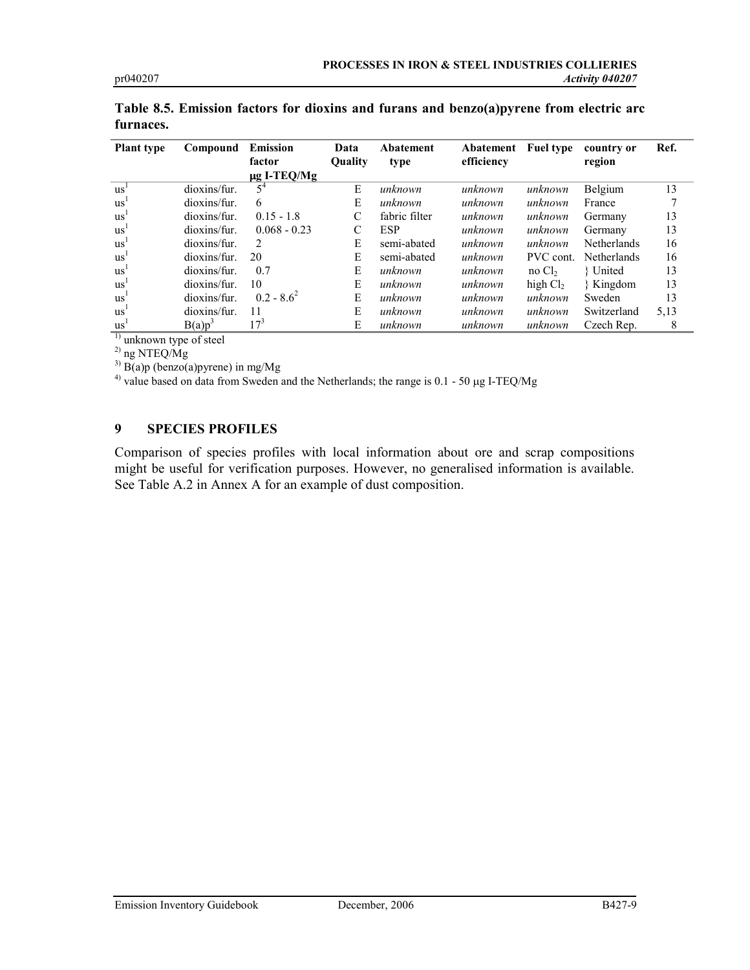| <b>Plant type</b>                                 | Compound     | <b>Emission</b>  | Data           | Abatement     | Abatement  | <b>Fuel type</b>                | country or         | Ref. |
|---------------------------------------------------|--------------|------------------|----------------|---------------|------------|---------------------------------|--------------------|------|
|                                                   |              | factor           | <b>Ouality</b> | type          | efficiency |                                 | region             |      |
|                                                   |              | $\mu$ g I-TEQ/Mg |                |               |            |                                 |                    |      |
| $\mathbf{u}\mathbf{s}$                            | dioxins/fur. | $5^4$            | E              | unknown       | unknown    | unknown                         | Belgium            | 13   |
| $\mathbf{u}\mathbf{s}$                            | dioxins/fur. | 6                | E              | unknown       | unknown    | unknown                         | France             |      |
| $\mathrm{us}^{\mathsf{I}}$                        | dioxins/fur. | $0.15 - 1.8$     | $\mathcal{C}$  | fabric filter | unknown    | unknown                         | Germany            | 13   |
| $\mathrm{u}$ s <sup><math>\mathrm{u}</math></sup> | dioxins/fur. | $0.068 - 0.23$   | C              | <b>ESP</b>    | unknown    | unknown                         | Germany            | 13   |
| $\mathrm{us}^{\mathsf{I}}$                        | dioxins/fur. | 2                | E              | semi-abated   | unknown    | unknown                         | <b>Netherlands</b> | 16   |
| $\mathrm{us}^1$                                   | dioxins/fur. | 20               | E              | semi-abated   | unknown    | PVC cont.                       | <b>Netherlands</b> | 16   |
| $\mathrm{u}$ s <sup><math>\mathrm{u}</math></sup> | dioxins/fur. | 0.7              | E              | unknown       | unknown    | $\overline{10}$ Cl <sub>2</sub> | { United           | 13   |
| $\mathrm{us}^{\mathsf{I}}$                        | dioxins/fur. | 10               | E              | unknown       | unknown    | high $Cl2$                      | { Kingdom          | 13   |
| $\mathrm{us}^1$                                   | dioxins/fur. | $02 - 86^2$      | E              | unknown       | unknown    | unknown                         | Sweden             | 13   |
| $\mathbf{u}\mathbf{s}$                            | dioxins/fur. | 11               | E              | unknown       | unknown    | unknown                         | Switzerland        | 5,13 |
| $\mathrm{us}^1$<br>$\overline{\phantom{0}}$       | $B(a)p^3$    | $17^3$           | E              | unknown       | unknown    | unknown                         | Czech Rep.         |      |

Table 8.5. Emission factors for dioxins and furans and benzo(a)pyrene from electric arc furnaces.

<sup>1)</sup> unknown type of steel

2) ng NTEQ/Mg

 $^{3)}$  B(a)p (benzo(a)pyrene) in mg/Mg

<sup>4)</sup> value based on data from Sweden and the Netherlands; the range is  $0.1 - 50 \mu g$  I-TEQ/Mg

# 9 SPECIES PROFILES

Comparison of species profiles with local information about ore and scrap compositions might be useful for verification purposes. However, no generalised information is available. See Table A.2 in Annex A for an example of dust composition.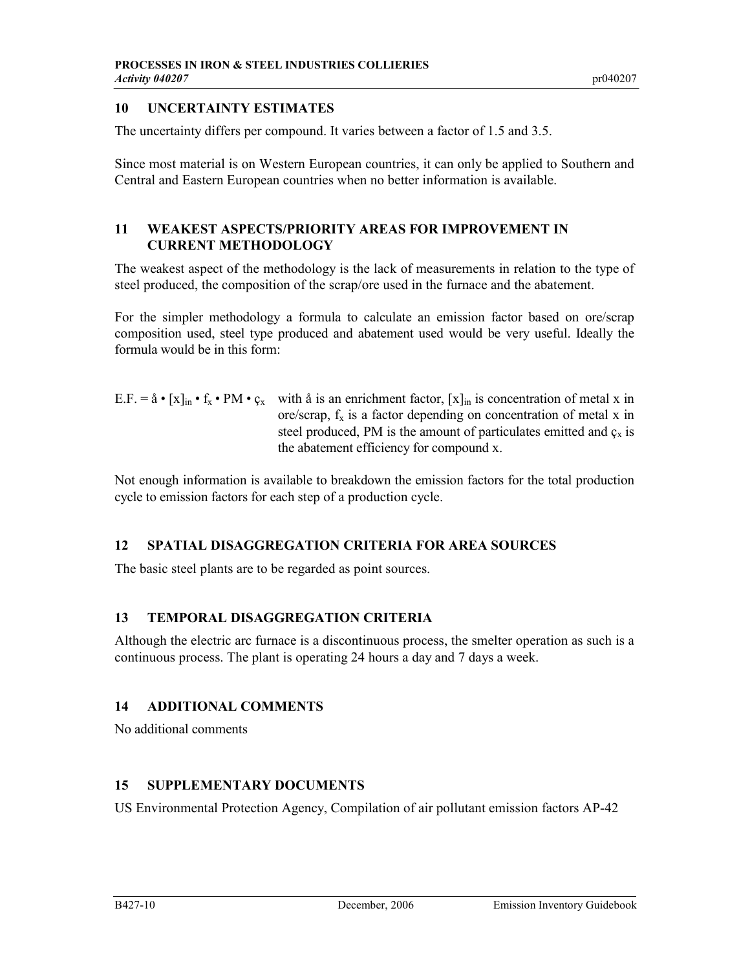# 10 UNCERTAINTY ESTIMATES

The uncertainty differs per compound. It varies between a factor of 1.5 and 3.5.

Since most material is on Western European countries, it can only be applied to Southern and Central and Eastern European countries when no better information is available.

# 11 WEAKEST ASPECTS/PRIORITY AREAS FOR IMPROVEMENT IN CURRENT METHODOLOGY

The weakest aspect of the methodology is the lack of measurements in relation to the type of steel produced, the composition of the scrap/ore used in the furnace and the abatement.

For the simpler methodology a formula to calculate an emission factor based on ore/scrap composition used, steel type produced and abatement used would be very useful. Ideally the formula would be in this form:

E.F. =  $\hat{a} \cdot [x]_{in} \cdot f_x \cdot PM \cdot c_x$  with  $\hat{a}$  is an enrichment factor,  $[x]_{in}$  is concentration of metal x in ore/scrap,  $f_x$  is a factor depending on concentration of metal x in steel produced, PM is the amount of particulates emitted and  $c<sub>x</sub>$  is the abatement efficiency for compound x.

Not enough information is available to breakdown the emission factors for the total production cycle to emission factors for each step of a production cycle.

# 12 SPATIAL DISAGGREGATION CRITERIA FOR AREA SOURCES

The basic steel plants are to be regarded as point sources.

# 13 TEMPORAL DISAGGREGATION CRITERIA

Although the electric arc furnace is a discontinuous process, the smelter operation as such is a continuous process. The plant is operating 24 hours a day and 7 days a week.

# 14 ADDITIONAL COMMENTS

No additional comments

# 15 SUPPLEMENTARY DOCUMENTS

US Environmental Protection Agency, Compilation of air pollutant emission factors AP-42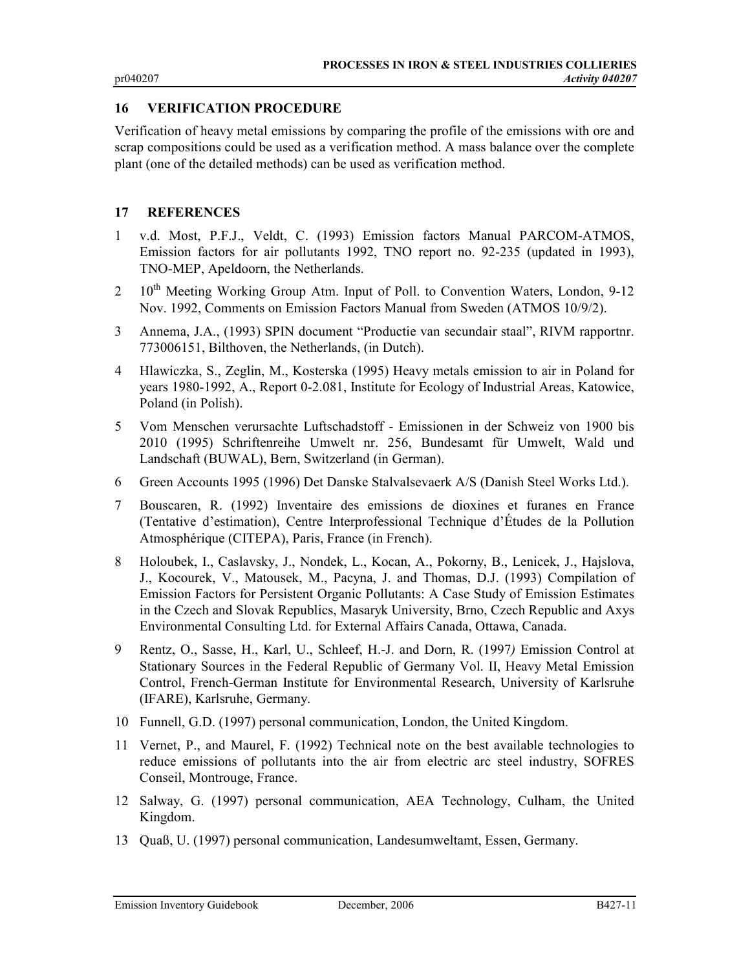#### 16 VERIFICATION PROCEDURE

Verification of heavy metal emissions by comparing the profile of the emissions with ore and scrap compositions could be used as a verification method. A mass balance over the complete plant (one of the detailed methods) can be used as verification method.

#### 17 REFERENCES

- 1 v.d. Most, P.F.J., Veldt, C. (1993) Emission factors Manual PARCOM-ATMOS, Emission factors for air pollutants 1992, TNO report no. 92-235 (updated in 1993), TNO-MEP, Apeldoorn, the Netherlands.
- 2  $10<sup>th</sup>$  Meeting Working Group Atm. Input of Poll. to Convention Waters, London, 9-12 Nov. 1992, Comments on Emission Factors Manual from Sweden (ATMOS 10/9/2).
- 3 Annema, J.A., (1993) SPIN document "Productie van secundair staal", RIVM rapportnr. 773006151, Bilthoven, the Netherlands, (in Dutch).
- 4 Hlawiczka, S., Zeglin, M., Kosterska (1995) Heavy metals emission to air in Poland for years 1980-1992, A., Report 0-2.081, Institute for Ecology of Industrial Areas, Katowice, Poland (in Polish).
- 5 Vom Menschen verursachte Luftschadstoff Emissionen in der Schweiz von 1900 bis 2010 (1995) Schriftenreihe Umwelt nr. 256, Bundesamt für Umwelt, Wald und Landschaft (BUWAL), Bern, Switzerland (in German).
- 6 Green Accounts 1995 (1996) Det Danske Stalvalsevaerk A/S (Danish Steel Works Ltd.).
- 7 Bouscaren, R. (1992) Inventaire des emissions de dioxines et furanes en France (Tentative d'estimation), Centre Interprofessional Technique d'Études de la Pollution Atmosphérique (CITEPA), Paris, France (in French).
- 8 Holoubek, I., Caslavsky, J., Nondek, L., Kocan, A., Pokorny, B., Lenicek, J., Hajslova, J., Kocourek, V., Matousek, M., Pacyna, J. and Thomas, D.J. (1993) Compilation of Emission Factors for Persistent Organic Pollutants: A Case Study of Emission Estimates in the Czech and Slovak Republics, Masaryk University, Brno, Czech Republic and Axys Environmental Consulting Ltd. for External Affairs Canada, Ottawa, Canada.
- 9 Rentz, O., Sasse, H., Karl, U., Schleef, H.-J. and Dorn, R. (1997) Emission Control at Stationary Sources in the Federal Republic of Germany Vol. II, Heavy Metal Emission Control, French-German Institute for Environmental Research, University of Karlsruhe (IFARE), Karlsruhe, Germany.
- 10 Funnell, G.D. (1997) personal communication, London, the United Kingdom.
- 11 Vernet, P., and Maurel, F. (1992) Technical note on the best available technologies to reduce emissions of pollutants into the air from electric arc steel industry, SOFRES Conseil, Montrouge, France.
- 12 Salway, G. (1997) personal communication, AEA Technology, Culham, the United Kingdom.
- 13 Quaß, U. (1997) personal communication, Landesumweltamt, Essen, Germany.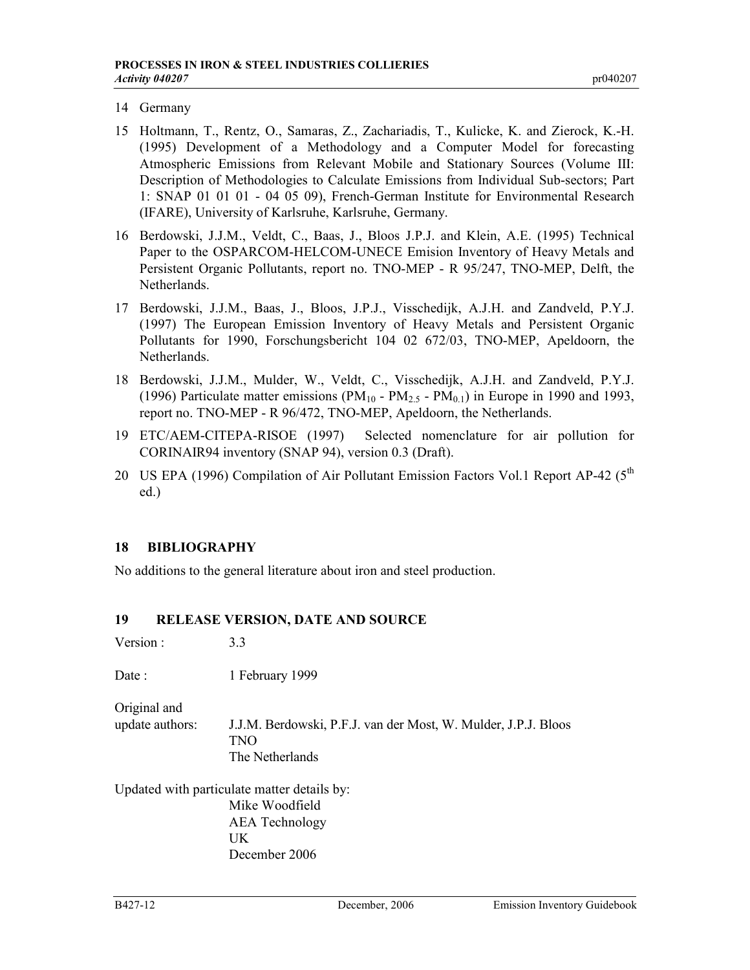- 14 Germany
- 15 Holtmann, T., Rentz, O., Samaras, Z., Zachariadis, T., Kulicke, K. and Zierock, K.-H. (1995) Development of a Methodology and a Computer Model for forecasting Atmospheric Emissions from Relevant Mobile and Stationary Sources (Volume III: Description of Methodologies to Calculate Emissions from Individual Sub-sectors; Part 1: SNAP 01 01 01 - 04 05 09), French-German Institute for Environmental Research (IFARE), University of Karlsruhe, Karlsruhe, Germany.
- 16 Berdowski, J.J.M., Veldt, C., Baas, J., Bloos J.P.J. and Klein, A.E. (1995) Technical Paper to the OSPARCOM-HELCOM-UNECE Emision Inventory of Heavy Metals and Persistent Organic Pollutants, report no. TNO-MEP - R 95/247, TNO-MEP, Delft, the Netherlands.
- 17 Berdowski, J.J.M., Baas, J., Bloos, J.P.J., Visschedijk, A.J.H. and Zandveld, P.Y.J. (1997) The European Emission Inventory of Heavy Metals and Persistent Organic Pollutants for 1990, Forschungsbericht 104 02 672/03, TNO-MEP, Apeldoorn, the Netherlands.
- 18 Berdowski, J.J.M., Mulder, W., Veldt, C., Visschedijk, A.J.H. and Zandveld, P.Y.J. (1996) Particulate matter emissions (PM<sub>10</sub> - PM<sub>2.5</sub> - PM<sub>0.1</sub>) in Europe in 1990 and 1993, report no. TNO-MEP - R 96/472, TNO-MEP, Apeldoorn, the Netherlands.
- 19 ETC/AEM-CITEPA-RISOE (1997) Selected nomenclature for air pollution for CORINAIR94 inventory (SNAP 94), version 0.3 (Draft).
- 20 US EPA (1996) Compilation of Air Pollutant Emission Factors Vol.1 Report AP-42 (5<sup>th</sup>) ed.)

# 18 BIBLIOGRAPHY

No additions to the general literature about iron and steel production.

# 19 RELEASE VERSION, DATE AND SOURCE

Version : 3.3

Date : 1 February 1999

Original and

update authors: J.J.M. Berdowski, P.F.J. van der Most, W. Mulder, J.P.J. Bloos TNO The Netherlands

Updated with particulate matter details by: Mike Woodfield AEA Technology UK December 2006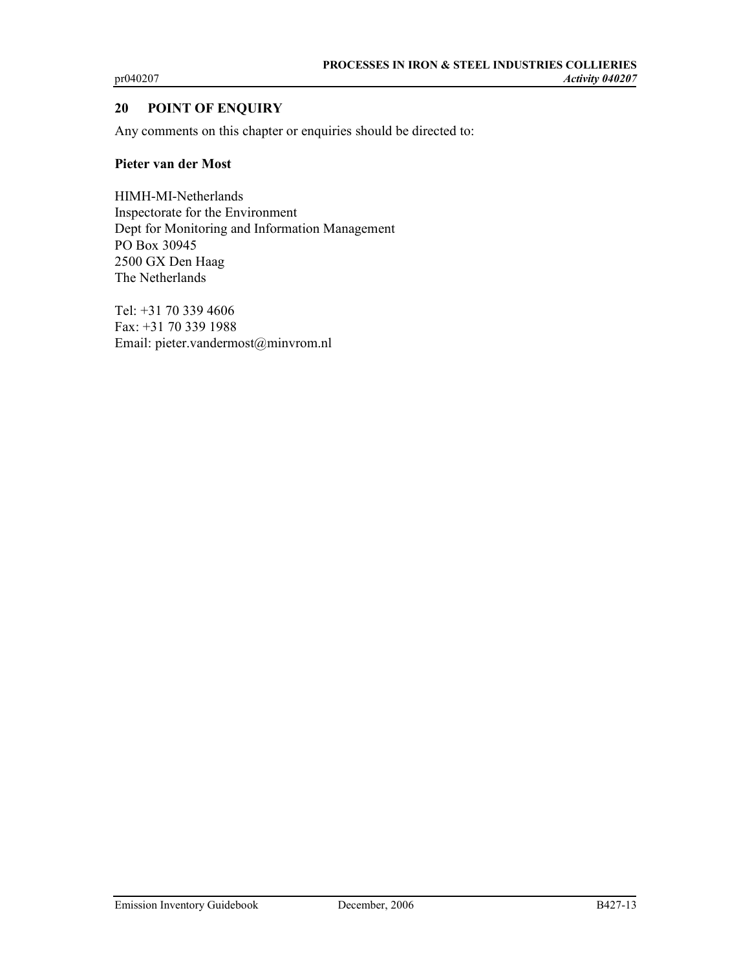# 20 POINT OF ENQUIRY

Any comments on this chapter or enquiries should be directed to:

#### Pieter van der Most

HIMH-MI-Netherlands Inspectorate for the Environment Dept for Monitoring and Information Management PO Box 30945 2500 GX Den Haag The Netherlands

Tel: +31 70 339 4606 Fax: +31 70 339 1988 Email: pieter.vandermost@minvrom.nl